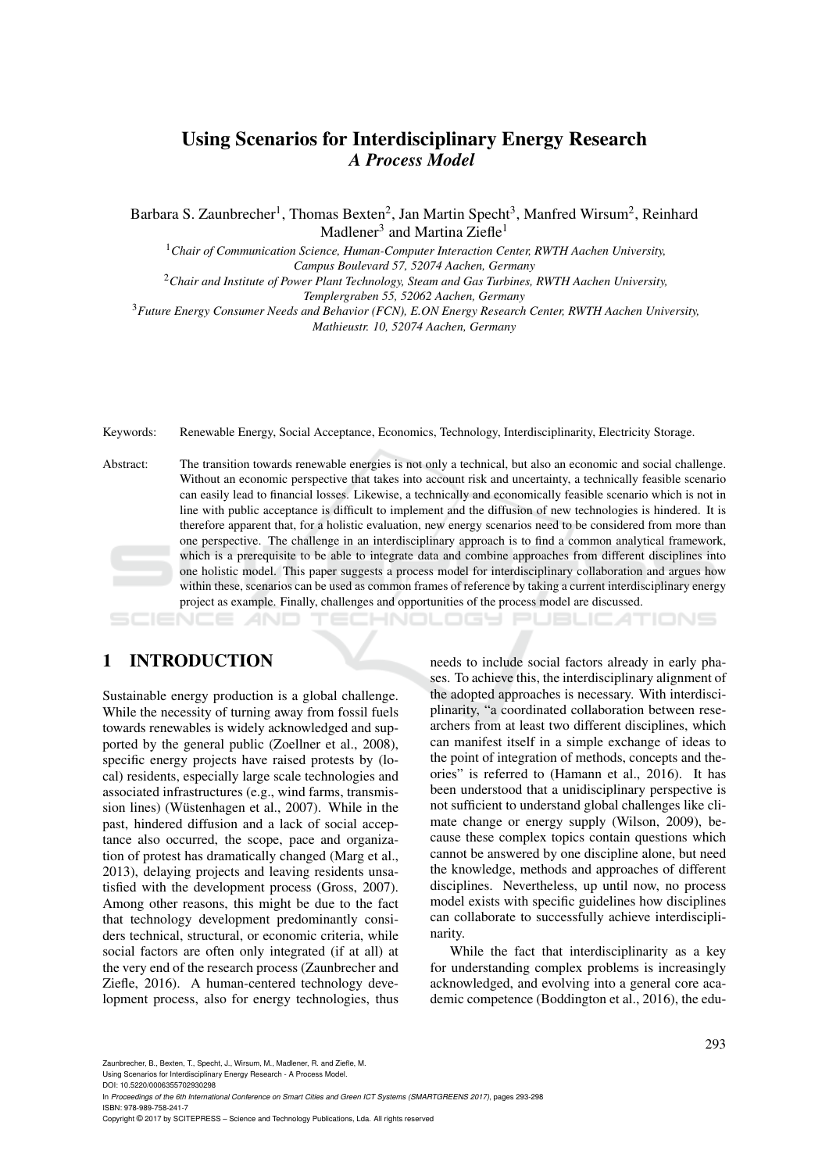# Using Scenarios for Interdisciplinary Energy Research *A Process Model*

Barbara S. Zaunbrecher<sup>1</sup>, Thomas Bexten<sup>2</sup>, Jan Martin Specht<sup>3</sup>, Manfred Wirsum<sup>2</sup>, Reinhard Madlener<sup>3</sup> and Martina Ziefle<sup>1</sup>

<sup>1</sup>*Chair of Communication Science, Human-Computer Interaction Center, RWTH Aachen University, Campus Boulevard 57, 52074 Aachen, Germany*

<sup>2</sup>*Chair and Institute of Power Plant Technology, Steam and Gas Turbines, RWTH Aachen University,*

*Templergraben 55, 52062 Aachen, Germany*

<sup>3</sup>*Future Energy Consumer Needs and Behavior (FCN), E.ON Energy Research Center, RWTH Aachen University, Mathieustr. 10, 52074 Aachen, Germany*

Keywords: Renewable Energy, Social Acceptance, Economics, Technology, Interdisciplinarity, Electricity Storage.

Abstract: The transition towards renewable energies is not only a technical, but also an economic and social challenge. Without an economic perspective that takes into account risk and uncertainty, a technically feasible scenario can easily lead to financial losses. Likewise, a technically and economically feasible scenario which is not in line with public acceptance is difficult to implement and the diffusion of new technologies is hindered. It is therefore apparent that, for a holistic evaluation, new energy scenarios need to be considered from more than one perspective. The challenge in an interdisciplinary approach is to find a common analytical framework, which is a prerequisite to be able to integrate data and combine approaches from different disciplines into one holistic model. This paper suggests a process model for interdisciplinary collaboration and argues how within these, scenarios can be used as common frames of reference by taking a current interdisciplinary energy project as example. Finally, challenges and opportunities of the process model are discussed.

#### HNOLOGY PUBLICATIONS CIENCE

### 1 INTRODUCTION

Sustainable energy production is a global challenge. While the necessity of turning away from fossil fuels towards renewables is widely acknowledged and supported by the general public (Zoellner et al., 2008), specific energy projects have raised protests by (local) residents, especially large scale technologies and associated infrastructures (e.g., wind farms, transmission lines) (Wüstenhagen et al., 2007). While in the past, hindered diffusion and a lack of social acceptance also occurred, the scope, pace and organization of protest has dramatically changed (Marg et al., 2013), delaying projects and leaving residents unsatisfied with the development process (Gross, 2007). Among other reasons, this might be due to the fact that technology development predominantly considers technical, structural, or economic criteria, while social factors are often only integrated (if at all) at the very end of the research process (Zaunbrecher and Ziefle, 2016). A human-centered technology development process, also for energy technologies, thus

needs to include social factors already in early phases. To achieve this, the interdisciplinary alignment of the adopted approaches is necessary. With interdisciplinarity, "a coordinated collaboration between researchers from at least two different disciplines, which can manifest itself in a simple exchange of ideas to the point of integration of methods, concepts and theories" is referred to (Hamann et al., 2016). It has been understood that a unidisciplinary perspective is not sufficient to understand global challenges like climate change or energy supply (Wilson, 2009), because these complex topics contain questions which cannot be answered by one discipline alone, but need the knowledge, methods and approaches of different disciplines. Nevertheless, up until now, no process model exists with specific guidelines how disciplines can collaborate to successfully achieve interdisciplinarity.

While the fact that interdisciplinarity as a key for understanding complex problems is increasingly acknowledged, and evolving into a general core academic competence (Boddington et al., 2016), the edu-

Using Scenarios for Interdisciplinary Energy Research - A Process Model.

DOI: 10.5220/0006355702930298

In *Proceedings of the 6th International Conference on Smart Cities and Green ICT Systems (SMARTGREENS 2017)*, pages 293-298 ISBN: 978-989-758-241-7

Copyright © 2017 by SCITEPRESS – Science and Technology Publications, Lda. All rights reserved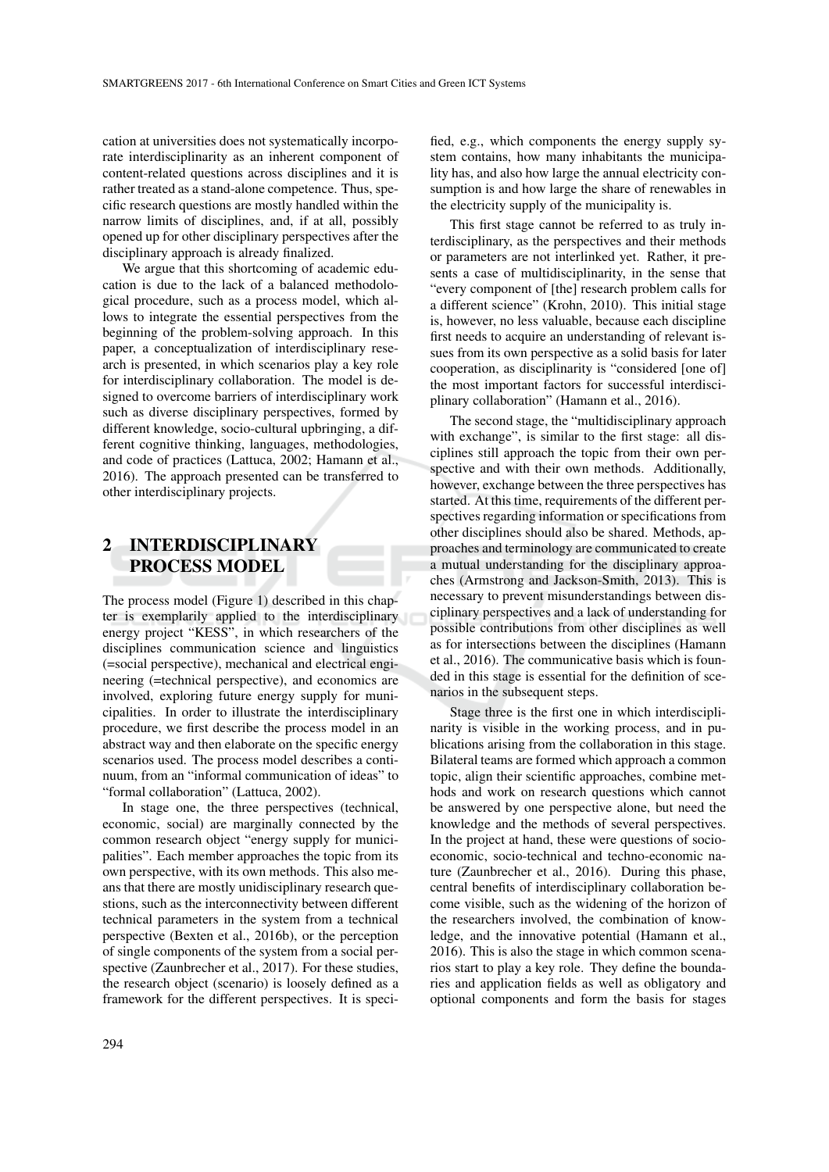cation at universities does not systematically incorporate interdisciplinarity as an inherent component of content-related questions across disciplines and it is rather treated as a stand-alone competence. Thus, specific research questions are mostly handled within the narrow limits of disciplines, and, if at all, possibly opened up for other disciplinary perspectives after the disciplinary approach is already finalized.

We argue that this shortcoming of academic education is due to the lack of a balanced methodological procedure, such as a process model, which allows to integrate the essential perspectives from the beginning of the problem-solving approach. In this paper, a conceptualization of interdisciplinary research is presented, in which scenarios play a key role for interdisciplinary collaboration. The model is designed to overcome barriers of interdisciplinary work such as diverse disciplinary perspectives, formed by different knowledge, socio-cultural upbringing, a different cognitive thinking, languages, methodologies, and code of practices (Lattuca, 2002; Hamann et al., 2016). The approach presented can be transferred to other interdisciplinary projects.

# 2 INTERDISCIPLINARY PROCESS MODEL

The process model (Figure 1) described in this chapter is exemplarily applied to the interdisciplinary energy project "KESS", in which researchers of the disciplines communication science and linguistics (=social perspective), mechanical and electrical engineering (=technical perspective), and economics are involved, exploring future energy supply for municipalities. In order to illustrate the interdisciplinary procedure, we first describe the process model in an abstract way and then elaborate on the specific energy scenarios used. The process model describes a continuum, from an "informal communication of ideas" to "formal collaboration" (Lattuca, 2002).

In stage one, the three perspectives (technical, economic, social) are marginally connected by the common research object "energy supply for municipalities". Each member approaches the topic from its own perspective, with its own methods. This also means that there are mostly unidisciplinary research questions, such as the interconnectivity between different technical parameters in the system from a technical perspective (Bexten et al., 2016b), or the perception of single components of the system from a social perspective (Zaunbrecher et al., 2017). For these studies, the research object (scenario) is loosely defined as a framework for the different perspectives. It is specified, e.g., which components the energy supply system contains, how many inhabitants the municipality has, and also how large the annual electricity consumption is and how large the share of renewables in the electricity supply of the municipality is.

This first stage cannot be referred to as truly interdisciplinary, as the perspectives and their methods or parameters are not interlinked yet. Rather, it presents a case of multidisciplinarity, in the sense that "every component of [the] research problem calls for a different science" (Krohn, 2010). This initial stage is, however, no less valuable, because each discipline first needs to acquire an understanding of relevant issues from its own perspective as a solid basis for later cooperation, as disciplinarity is "considered [one of] the most important factors for successful interdisciplinary collaboration" (Hamann et al., 2016).

The second stage, the "multidisciplinary approach with exchange", is similar to the first stage: all disciplines still approach the topic from their own perspective and with their own methods. Additionally, however, exchange between the three perspectives has started. At this time, requirements of the different perspectives regarding information or specifications from other disciplines should also be shared. Methods, approaches and terminology are communicated to create a mutual understanding for the disciplinary approaches (Armstrong and Jackson-Smith, 2013). This is necessary to prevent misunderstandings between disciplinary perspectives and a lack of understanding for possible contributions from other disciplines as well as for intersections between the disciplines (Hamann et al., 2016). The communicative basis which is founded in this stage is essential for the definition of scenarios in the subsequent steps.

Stage three is the first one in which interdisciplinarity is visible in the working process, and in publications arising from the collaboration in this stage. Bilateral teams are formed which approach a common topic, align their scientific approaches, combine methods and work on research questions which cannot be answered by one perspective alone, but need the knowledge and the methods of several perspectives. In the project at hand, these were questions of socioeconomic, socio-technical and techno-economic nature (Zaunbrecher et al., 2016). During this phase, central benefits of interdisciplinary collaboration become visible, such as the widening of the horizon of the researchers involved, the combination of knowledge, and the innovative potential (Hamann et al., 2016). This is also the stage in which common scenarios start to play a key role. They define the boundaries and application fields as well as obligatory and optional components and form the basis for stages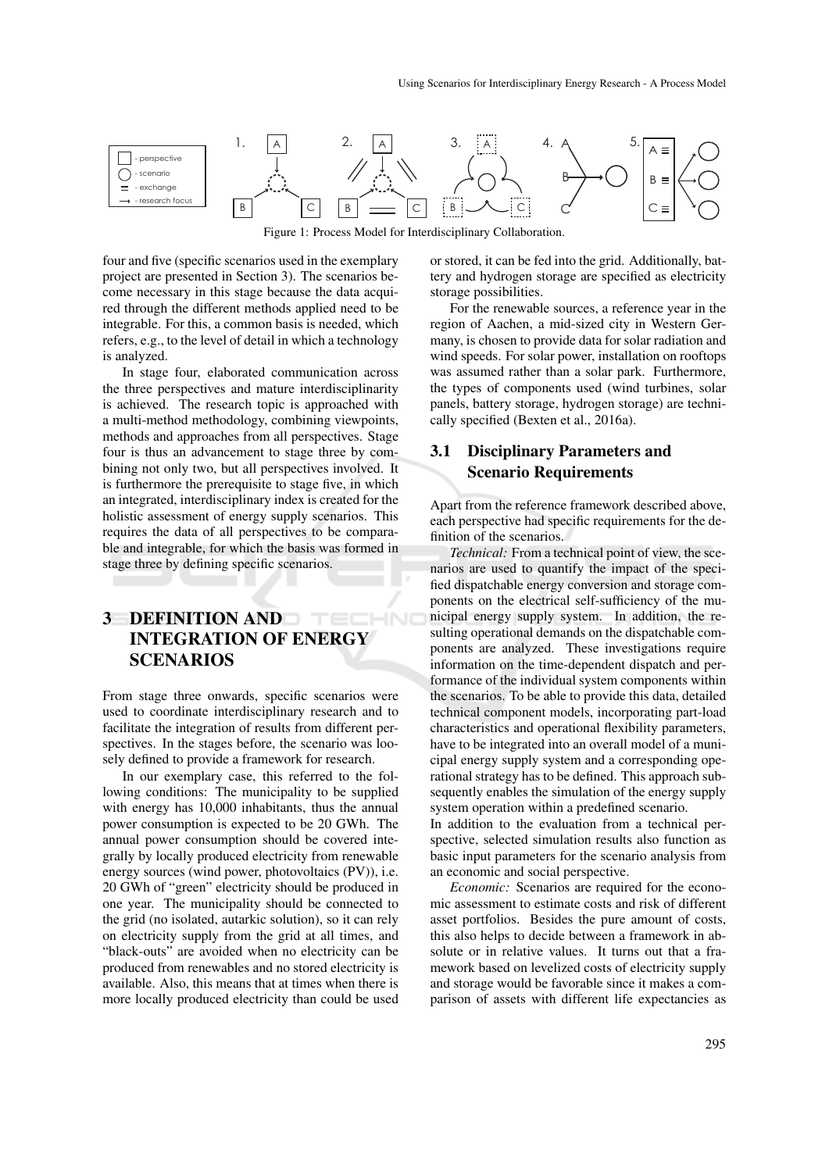

Figure 1: Process Model for Interdisciplinary Collaboration.

four and five (specific scenarios used in the exemplary project are presented in Section 3). The scenarios become necessary in this stage because the data acquired through the different methods applied need to be integrable. For this, a common basis is needed, which refers, e.g., to the level of detail in which a technology is analyzed.

In stage four, elaborated communication across the three perspectives and mature interdisciplinarity is achieved. The research topic is approached with a multi-method methodology, combining viewpoints, methods and approaches from all perspectives. Stage four is thus an advancement to stage three by combining not only two, but all perspectives involved. It is furthermore the prerequisite to stage five, in which an integrated, interdisciplinary index is created for the holistic assessment of energy supply scenarios. This requires the data of all perspectives to be comparable and integrable, for which the basis was formed in stage three by defining specific scenarios.

#### 3 DEFINITION AND HND INTEGRATION OF ENERGY SCENARIOS

From stage three onwards, specific scenarios were used to coordinate interdisciplinary research and to facilitate the integration of results from different perspectives. In the stages before, the scenario was loosely defined to provide a framework for research.

In our exemplary case, this referred to the following conditions: The municipality to be supplied with energy has 10,000 inhabitants, thus the annual power consumption is expected to be 20 GWh. The annual power consumption should be covered integrally by locally produced electricity from renewable energy sources (wind power, photovoltaics (PV)), i.e. 20 GWh of "green" electricity should be produced in one year. The municipality should be connected to the grid (no isolated, autarkic solution), so it can rely on electricity supply from the grid at all times, and "black-outs" are avoided when no electricity can be produced from renewables and no stored electricity is available. Also, this means that at times when there is more locally produced electricity than could be used

or stored, it can be fed into the grid. Additionally, battery and hydrogen storage are specified as electricity storage possibilities.

For the renewable sources, a reference year in the region of Aachen, a mid-sized city in Western Germany, is chosen to provide data for solar radiation and wind speeds. For solar power, installation on rooftops was assumed rather than a solar park. Furthermore, the types of components used (wind turbines, solar panels, battery storage, hydrogen storage) are technically specified (Bexten et al., 2016a).

# 3.1 Disciplinary Parameters and Scenario Requirements

Apart from the reference framework described above, each perspective had specific requirements for the definition of the scenarios.

*Technical:* From a technical point of view, the scenarios are used to quantify the impact of the specified dispatchable energy conversion and storage components on the electrical self-sufficiency of the municipal energy supply system. In addition, the resulting operational demands on the dispatchable components are analyzed. These investigations require information on the time-dependent dispatch and performance of the individual system components within the scenarios. To be able to provide this data, detailed technical component models, incorporating part-load characteristics and operational flexibility parameters, have to be integrated into an overall model of a municipal energy supply system and a corresponding operational strategy has to be defined. This approach subsequently enables the simulation of the energy supply system operation within a predefined scenario.

In addition to the evaluation from a technical perspective, selected simulation results also function as basic input parameters for the scenario analysis from an economic and social perspective.

*Economic:* Scenarios are required for the economic assessment to estimate costs and risk of different asset portfolios. Besides the pure amount of costs, this also helps to decide between a framework in absolute or in relative values. It turns out that a framework based on levelized costs of electricity supply and storage would be favorable since it makes a comparison of assets with different life expectancies as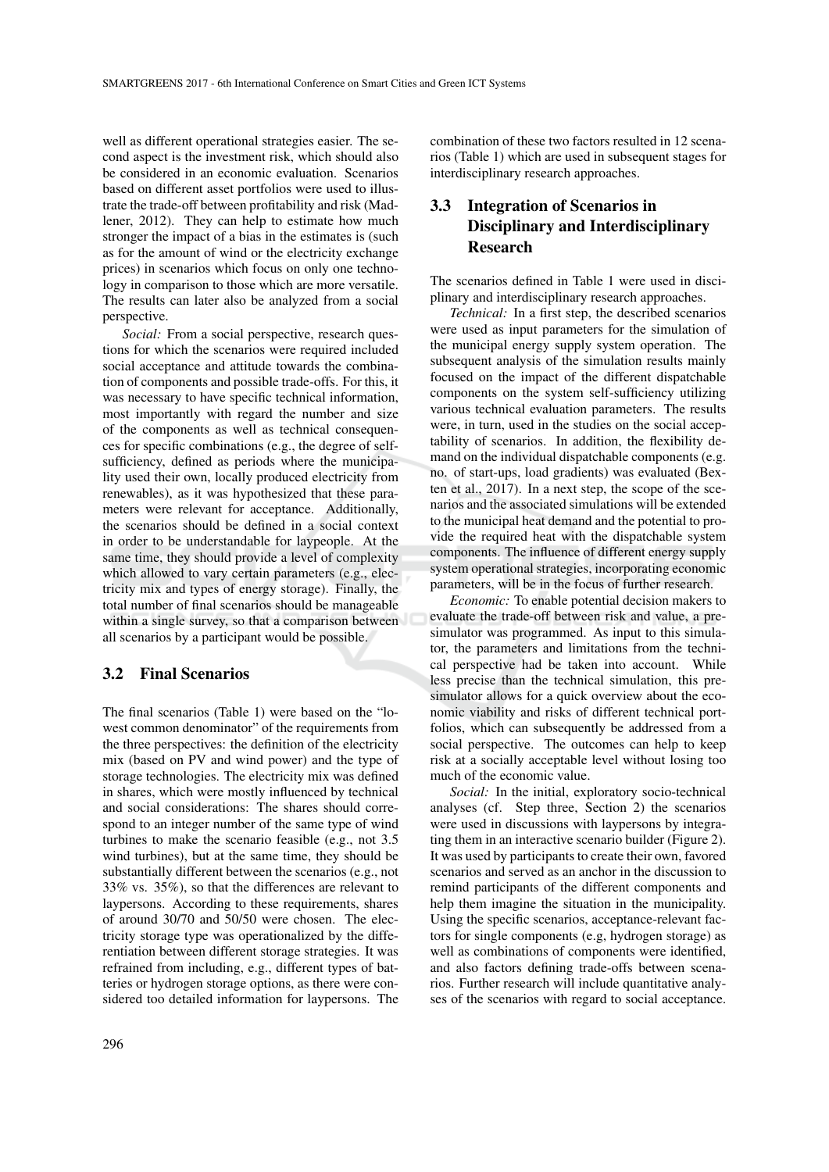well as different operational strategies easier. The second aspect is the investment risk, which should also be considered in an economic evaluation. Scenarios based on different asset portfolios were used to illustrate the trade-off between profitability and risk (Madlener, 2012). They can help to estimate how much stronger the impact of a bias in the estimates is (such as for the amount of wind or the electricity exchange prices) in scenarios which focus on only one technology in comparison to those which are more versatile. The results can later also be analyzed from a social perspective.

*Social:* From a social perspective, research questions for which the scenarios were required included social acceptance and attitude towards the combination of components and possible trade-offs. For this, it was necessary to have specific technical information, most importantly with regard the number and size of the components as well as technical consequences for specific combinations (e.g., the degree of selfsufficiency, defined as periods where the municipality used their own, locally produced electricity from renewables), as it was hypothesized that these parameters were relevant for acceptance. Additionally, the scenarios should be defined in a social context in order to be understandable for laypeople. At the same time, they should provide a level of complexity which allowed to vary certain parameters (e.g., electricity mix and types of energy storage). Finally, the total number of final scenarios should be manageable within a single survey, so that a comparison between all scenarios by a participant would be possible.

### 3.2 Final Scenarios

The final scenarios (Table 1) were based on the "lowest common denominator" of the requirements from the three perspectives: the definition of the electricity mix (based on PV and wind power) and the type of storage technologies. The electricity mix was defined in shares, which were mostly influenced by technical and social considerations: The shares should correspond to an integer number of the same type of wind turbines to make the scenario feasible (e.g., not 3.5 wind turbines), but at the same time, they should be substantially different between the scenarios (e.g., not 33% vs. 35%), so that the differences are relevant to laypersons. According to these requirements, shares of around 30/70 and 50/50 were chosen. The electricity storage type was operationalized by the differentiation between different storage strategies. It was refrained from including, e.g., different types of batteries or hydrogen storage options, as there were considered too detailed information for laypersons. The

combination of these two factors resulted in 12 scenarios (Table 1) which are used in subsequent stages for interdisciplinary research approaches.

# 3.3 Integration of Scenarios in Disciplinary and Interdisciplinary Research

The scenarios defined in Table 1 were used in disciplinary and interdisciplinary research approaches.

*Technical:* In a first step, the described scenarios were used as input parameters for the simulation of the municipal energy supply system operation. The subsequent analysis of the simulation results mainly focused on the impact of the different dispatchable components on the system self-sufficiency utilizing various technical evaluation parameters. The results were, in turn, used in the studies on the social acceptability of scenarios. In addition, the flexibility demand on the individual dispatchable components (e.g. no. of start-ups, load gradients) was evaluated (Bexten et al., 2017). In a next step, the scope of the scenarios and the associated simulations will be extended to the municipal heat demand and the potential to provide the required heat with the dispatchable system components. The influence of different energy supply system operational strategies, incorporating economic parameters, will be in the focus of further research.

*Economic:* To enable potential decision makers to evaluate the trade-off between risk and value, a presimulator was programmed. As input to this simulator, the parameters and limitations from the technical perspective had be taken into account. While less precise than the technical simulation, this presimulator allows for a quick overview about the economic viability and risks of different technical portfolios, which can subsequently be addressed from a social perspective. The outcomes can help to keep risk at a socially acceptable level without losing too much of the economic value.

*Social:* In the initial, exploratory socio-technical analyses (cf. Step three, Section 2) the scenarios were used in discussions with laypersons by integrating them in an interactive scenario builder (Figure 2). It was used by participants to create their own, favored scenarios and served as an anchor in the discussion to remind participants of the different components and help them imagine the situation in the municipality. Using the specific scenarios, acceptance-relevant factors for single components (e.g, hydrogen storage) as well as combinations of components were identified, and also factors defining trade-offs between scenarios. Further research will include quantitative analyses of the scenarios with regard to social acceptance.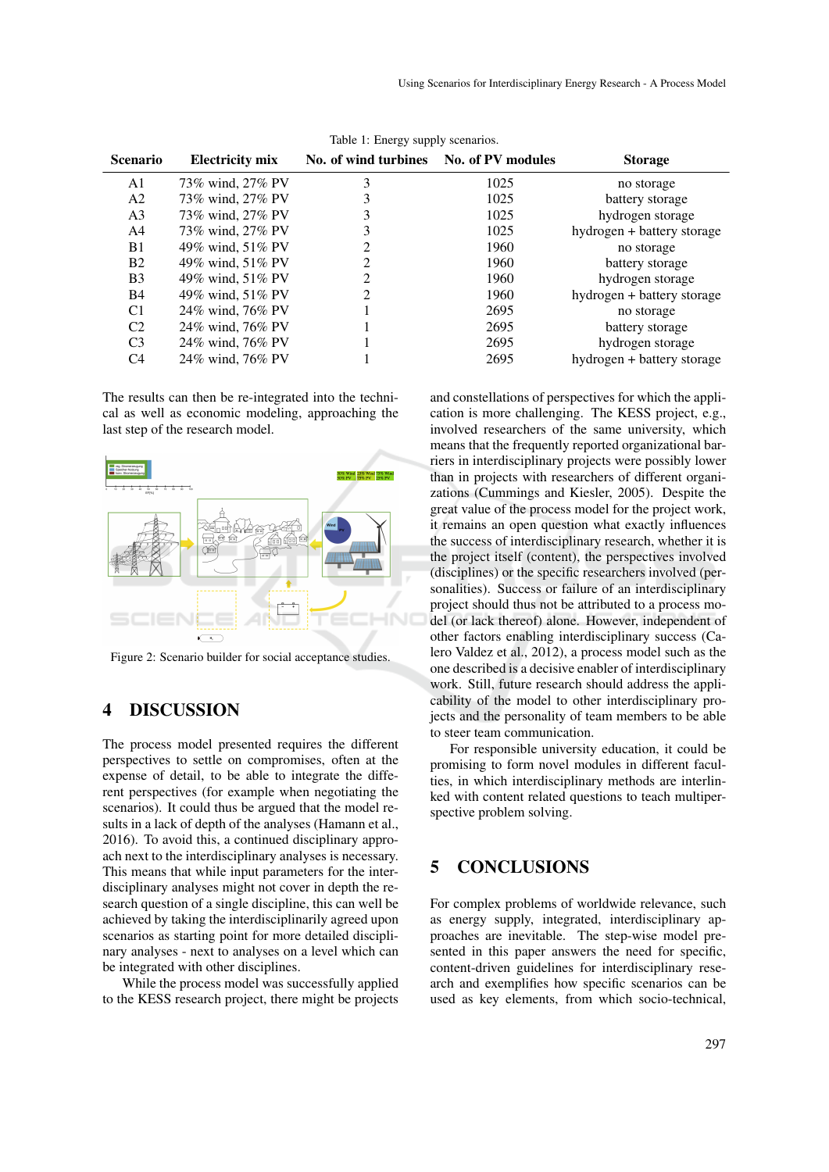| raore 1. $Bingy$ suppry section tos. |                        |                                        |      |                            |
|--------------------------------------|------------------------|----------------------------------------|------|----------------------------|
| <b>Scenario</b>                      | <b>Electricity mix</b> | No. of wind turbines No. of PV modules |      | <b>Storage</b>             |
| A1                                   | 73% wind, 27% PV       |                                        | 1025 | no storage                 |
| A <sub>2</sub>                       | 73% wind, 27% PV       |                                        | 1025 | battery storage            |
| A <sub>3</sub>                       | 73% wind, 27% PV       |                                        | 1025 | hydrogen storage           |
| A4                                   | 73% wind, 27% PV       |                                        | 1025 | hydrogen + battery storage |
| <b>B</b> 1                           | 49% wind, 51% PV       |                                        | 1960 | no storage                 |
| <b>B2</b>                            | 49% wind, 51% PV       | 2                                      | 1960 | battery storage            |
| B <sub>3</sub>                       | 49% wind, 51% PV       | 2                                      | 1960 | hydrogen storage           |
| <b>B</b> 4                           | 49% wind, 51% PV       | $\mathfrak{D}$                         | 1960 | hydrogen + battery storage |
| C <sub>1</sub>                       | 24% wind, 76% PV       |                                        | 2695 | no storage                 |
| C <sub>2</sub>                       | 24% wind, 76% PV       |                                        | 2695 | battery storage            |
| C <sub>3</sub>                       | 24% wind, 76% PV       |                                        | 2695 | hydrogen storage           |
| C4                                   | 24% wind, 76% PV       |                                        | 2695 | hydrogen + battery storage |
|                                      |                        |                                        |      |                            |

Table 1: Energy supply scenarios.

The results can then be re-integrated into the technical as well as economic modeling, approaching the last step of the research model.



Figure 2: Scenario builder for social acceptance studies.

## 4 DISCUSSION

The process model presented requires the different perspectives to settle on compromises, often at the expense of detail, to be able to integrate the different perspectives (for example when negotiating the scenarios). It could thus be argued that the model results in a lack of depth of the analyses (Hamann et al., 2016). To avoid this, a continued disciplinary approach next to the interdisciplinary analyses is necessary. This means that while input parameters for the interdisciplinary analyses might not cover in depth the research question of a single discipline, this can well be achieved by taking the interdisciplinarily agreed upon scenarios as starting point for more detailed disciplinary analyses - next to analyses on a level which can be integrated with other disciplines.

While the process model was successfully applied to the KESS research project, there might be projects

and constellations of perspectives for which the application is more challenging. The KESS project, e.g., involved researchers of the same university, which means that the frequently reported organizational barriers in interdisciplinary projects were possibly lower than in projects with researchers of different organizations (Cummings and Kiesler, 2005). Despite the great value of the process model for the project work, it remains an open question what exactly influences the success of interdisciplinary research, whether it is the project itself (content), the perspectives involved (disciplines) or the specific researchers involved (personalities). Success or failure of an interdisciplinary project should thus not be attributed to a process model (or lack thereof) alone. However, independent of other factors enabling interdisciplinary success (Calero Valdez et al., 2012), a process model such as the one described is a decisive enabler of interdisciplinary work. Still, future research should address the applicability of the model to other interdisciplinary projects and the personality of team members to be able to steer team communication.

For responsible university education, it could be promising to form novel modules in different faculties, in which interdisciplinary methods are interlinked with content related questions to teach multiperspective problem solving.

# 5 CONCLUSIONS

For complex problems of worldwide relevance, such as energy supply, integrated, interdisciplinary approaches are inevitable. The step-wise model presented in this paper answers the need for specific, content-driven guidelines for interdisciplinary research and exemplifies how specific scenarios can be used as key elements, from which socio-technical,